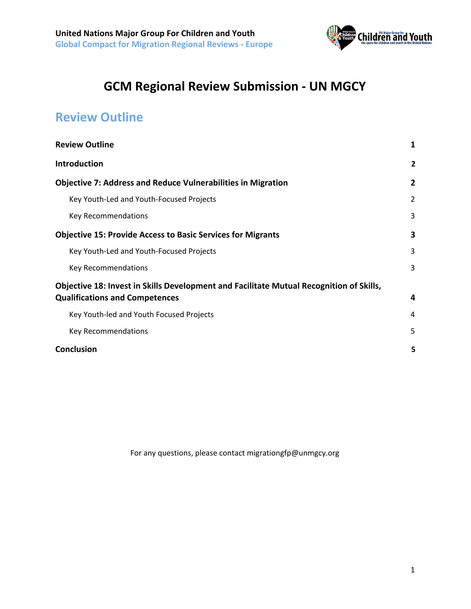

## **GCM Regional Review Submission - UN MGCY**

## <span id="page-0-0"></span>**Review Outline**

| <b>Review Outline</b>                                                                   | 1              |
|-----------------------------------------------------------------------------------------|----------------|
| <b>Introduction</b>                                                                     | $\overline{2}$ |
| <b>Objective 7: Address and Reduce Vulnerabilities in Migration</b>                     | 2              |
| Key Youth-Led and Youth-Focused Projects                                                | $\overline{2}$ |
| Key Recommendations                                                                     | 3              |
| <b>Objective 15: Provide Access to Basic Services for Migrants</b>                      | 3              |
| Key Youth-Led and Youth-Focused Projects                                                | 3              |
| Key Recommendations                                                                     | 3              |
| Objective 18: Invest in Skills Development and Facilitate Mutual Recognition of Skills, |                |
| <b>Qualifications and Competences</b>                                                   | 4              |
| Key Youth-led and Youth Focused Projects                                                | 4              |
| Key Recommendations                                                                     | 5              |
| <b>Conclusion</b>                                                                       | 5              |

For any questions, please contact migrationgfp@unmgcy.org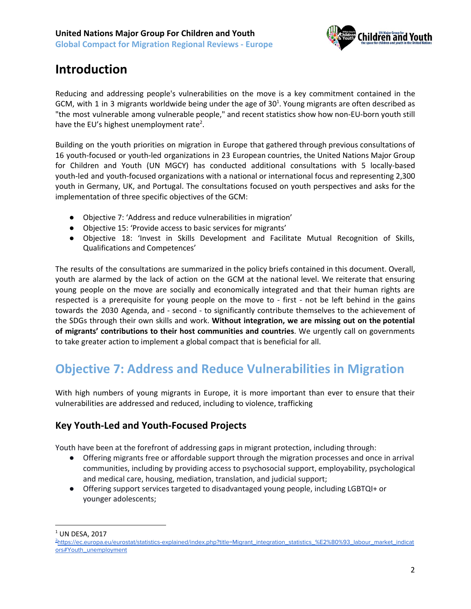

### <span id="page-1-0"></span>**Introduction**

Reducing and addressing people's vulnerabilities on the move is a key commitment contained in the GCM, with 1 in 3 migrants worldwide being under the age of  $30<sup>1</sup>$ . Young migrants are often described as "the most vulnerable among vulnerable people," and recent statistics show how non-EU-born youth still have the EU's highest unemployment rate<sup>2</sup>.

Building on the youth priorities on migration in Europe that gathered through previous consultations of 16 youth-focused or youth-led organizations in 23 European countries, the United Nations Major Group for Children and Youth (UN MGCY) has conducted additional consultations with 5 locally-based youth-led and youth-focused organizations with a national or international focus and representing 2,300 youth in Germany, UK, and Portugal. The consultations focused on youth perspectives and asks for the implementation of three specific objectives of the GCM:

- Objective 7: 'Address and reduce vulnerabilities in migration'
- Objective 15: 'Provide access to basic services for migrants'
- Objective 18: 'Invest in Skills Development and Facilitate Mutual Recognition of Skills, Qualifications and Competences'

The results of the consultations are summarized in the policy briefs contained in this document. Overall, youth are alarmed by the lack of action on the GCM at the national level. We reiterate that ensuring young people on the move are socially and economically integrated and that their human rights are respected is a prerequisite for young people on the move to - first - not be left behind in the gains towards the 2030 Agenda, and - second - to significantly contribute themselves to the achievement of the SDGs through their own skills and work. **Without integration, we are missing out on the potential of migrants' contributions to their host communities and countries**. We urgently call on governments to take greater action to implement a global compact that is beneficial for all.

### <span id="page-1-1"></span>**Objective 7: Address and Reduce Vulnerabilities in Migration**

With high numbers of young migrants in Europe, it is more important than ever to ensure that their vulnerabilities are addressed and reduced, including to violence, trafficking

### <span id="page-1-2"></span>**Key Youth-Led and Youth-Focused Projects**

Youth have been at the forefront of addressing gaps in migrant protection, including through:

- Offering migrants free or affordable support through the migration processes and once in arrival communities, including by providing access to psychosocial support, employability, psychological and medical care, housing, mediation, translation, and judicial support;
- Offering support services targeted to disadvantaged young people, including LGBTQI+ or younger adolescents;

 $1$  UN DESA, 2017

<sup>2</sup>[https://ec.europa.eu/eurostat/statistics-explained/index.php?title=Migrant\\_integration\\_statistics\\_%E2%80%93\\_labour\\_market\\_indicat](https://ec.europa.eu/eurostat/statistics-explained/index.php?title=Migrant_integration_statistics_%E2%80%93_labour_market_indicators#Youth_unemployment) [ors#Youth\\_unemployment](https://ec.europa.eu/eurostat/statistics-explained/index.php?title=Migrant_integration_statistics_%E2%80%93_labour_market_indicators#Youth_unemployment)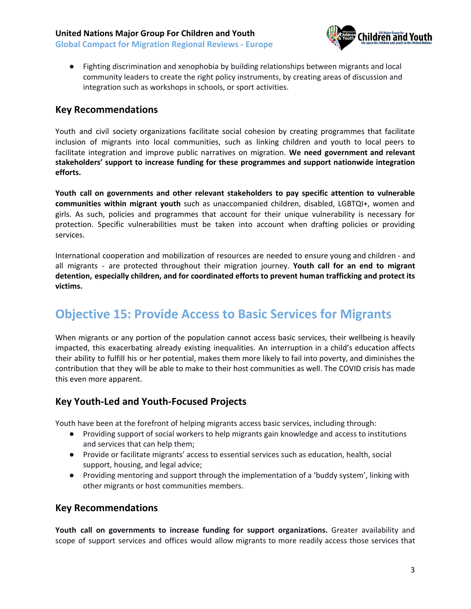**United Nations Major Group For Children and Youth Global Compact for Migration Regional Reviews - Europe**



● Fighting discrimination and xenophobia by building relationships between migrants and local community leaders to create the right policy instruments, by creating areas of discussion and integration such as workshops in schools, or sport activities.

#### <span id="page-2-0"></span>**Key Recommendations**

Youth and civil society organizations facilitate social cohesion by creating programmes that facilitate inclusion of migrants into local communities, such as linking children and youth to local peers to facilitate integration and improve public narratives on migration. **We need government and relevant stakeholders' support to increase funding for these programmes and support nationwide integration efforts.**

**Youth call on governments and other relevant stakeholders to pay specific attention to vulnerable communities within migrant youth** such as unaccompanied children, disabled, LGBTQI+, women and girls. As such, policies and programmes that account for their unique vulnerability is necessary for protection. Specific vulnerabilities must be taken into account when drafting policies or providing services.

International cooperation and mobilization of resources are needed to ensure young and children - and all migrants - are protected throughout their migration journey. **Youth call for an end to migrant detention, especially children, and for coordinated efforts to prevent human trafficking and protect its victims.**

### <span id="page-2-1"></span>**Objective 15: Provide Access to Basic Services for Migrants**

When migrants or any portion of the population cannot access basic services, their wellbeing is heavily impacted, this exacerbating already existing inequalities. An interruption in a child's education affects their ability to fulfill his or her potential, makes them more likely to fail into poverty, and diminishes the contribution that they will be able to make to their host communities as well. The COVID crisis has made this even more apparent.

#### <span id="page-2-2"></span>**Key Youth-Led and Youth-Focused Projects**

Youth have been at the forefront of helping migrants access basic services, including through:

- Providing support of social workers to help migrants gain knowledge and access to institutions and services that can help them;
- Provide or facilitate migrants' access to essential services such as education, health, social support, housing, and legal advice;
- Providing mentoring and support through the implementation of a 'buddy system', linking with other migrants or host communities members.

#### <span id="page-2-3"></span>**Key Recommendations**

**Youth call on governments to increase funding for support organizations.** Greater availability and scope of support services and offices would allow migrants to more readily access those services that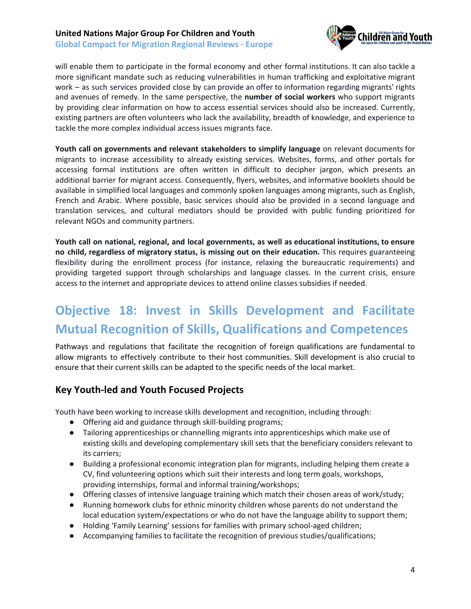#### **United Nations Major Group For Children and Youth Global Compact for Migration Regional Reviews - Europe**



will enable them to participate in the formal economy and other formal institutions. It can also tackle a more significant mandate such as reducing vulnerabilities in human trafficking and exploitative migrant work – as such services provided close by can provide an offer to information regarding migrants' rights and avenues of remedy. In the same perspective, the **number of social workers** who support migrants by providing clear information on how to access essential services should also be increased. Currently, existing partners are often volunteers who lack the availability, breadth of knowledge, and experience to tackle the more complex individual access issues migrants face.

**Youth call on governments and relevant stakeholders to simplify language** on relevant documents for migrants to increase accessibility to already existing services. Websites, forms, and other portals for accessing formal institutions are often written in difficult to decipher jargon, which presents an additional barrier for migrant access. Consequently, flyers, websites, and informative booklets should be available in simplified local languages and commonly spoken languages among migrants, such as English, French and Arabic. Where possible, basic services should also be provided in a second language and translation services, and cultural mediators should be provided with public funding prioritized for relevant NGOs and community partners.

**Youth call on national, regional, and local governments, as well as educational institutions, to ensure no child, regardless of migratory status, is missing out on their education.** This requires guaranteeing flexibility during the enrollment process (for instance, relaxing the bureaucratic requirements) and providing targeted support through scholarships and language classes. In the current crisis, ensure access to the internet and appropriate devices to attend online classes subsidies if needed.

# <span id="page-3-0"></span>**Objective 18: Invest in Skills Development and Facilitate Mutual Recognition of Skills, Qualifications and Competences**

Pathways and regulations that facilitate the recognition of foreign qualifications are fundamental to allow migrants to effectively contribute to their host communities. Skill development is also crucial to ensure that their current skills can be adapted to the specific needs of the local market.

#### <span id="page-3-1"></span>**Key Youth-led and Youth Focused Projects**

Youth have been working to increase skills development and recognition, including through:

- Offering aid and guidance through skill-building programs;
- Tailoring apprenticeships or channelling migrants into apprenticeships which make use of existing skills and developing complementary skill sets that the beneficiary considers relevant to its carriers;
- Building a professional economic integration plan for migrants, including helping them create a CV, find volunteering options which suit their interests and long term goals, workshops, providing internships, formal and informal training/workshops;
- Offering classes of intensive language training which match their chosen areas of work/study;
- Running homework clubs for ethnic minority children whose parents do not understand the local education system/expectations or who do not have the language ability to support them;
- Holding 'Family Learning' sessions for families with primary school-aged children;
- Accompanying families to facilitate the recognition of previous studies/qualifications;